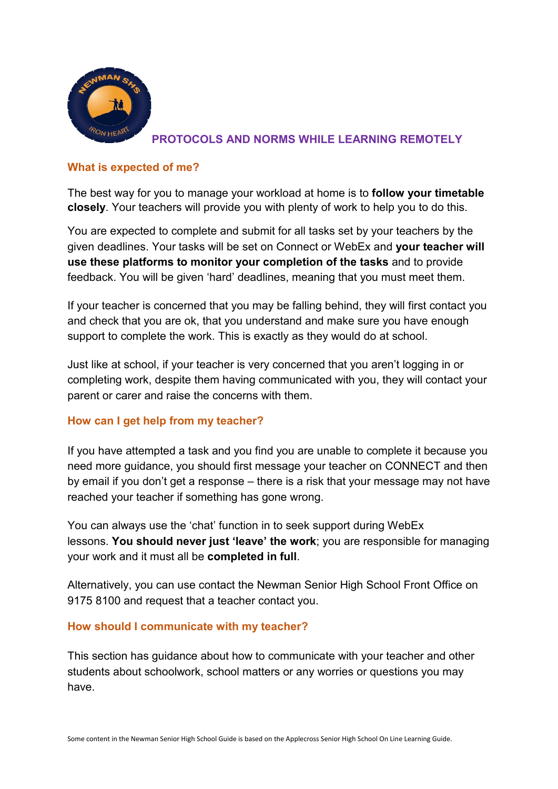

## **PROTOCOLS AND NORMS WHILE LEARNING REMOTELY**

### **What is expected of me?**

The best way for you to manage your workload at home is to **follow your timetable closely**. Your teachers will provide you with plenty of work to help you to do this.

You are expected to complete and submit for all tasks set by your teachers by the given deadlines. Your tasks will be set on Connect or WebEx and **your teacher will use these platforms to monitor your completion of the tasks** and to provide feedback. You will be given 'hard' deadlines, meaning that you must meet them.

If your teacher is concerned that you may be falling behind, they will first contact you and check that you are ok, that you understand and make sure you have enough support to complete the work. This is exactly as they would do at school.

Just like at school, if your teacher is very concerned that you aren't logging in or completing work, despite them having communicated with you, they will contact your parent or carer and raise the concerns with them.

# **How can I get help from my teacher?**

If you have attempted a task and you find you are unable to complete it because you need more guidance, you should first message your teacher on CONNECT and then by email if you don't get a response – there is a risk that your message may not have reached your teacher if something has gone wrong.

You can always use the 'chat' function in to seek support during WebEx lessons. **You should never just 'leave' the work**; you are responsible for managing your work and it must all be **completed in full**.

Alternatively, you can use contact the Newman Senior High School Front Office on 9175 8100 and request that a teacher contact you.

### **How should I communicate with my teacher?**

This section has guidance about how to communicate with your teacher and other students about schoolwork, school matters or any worries or questions you may have.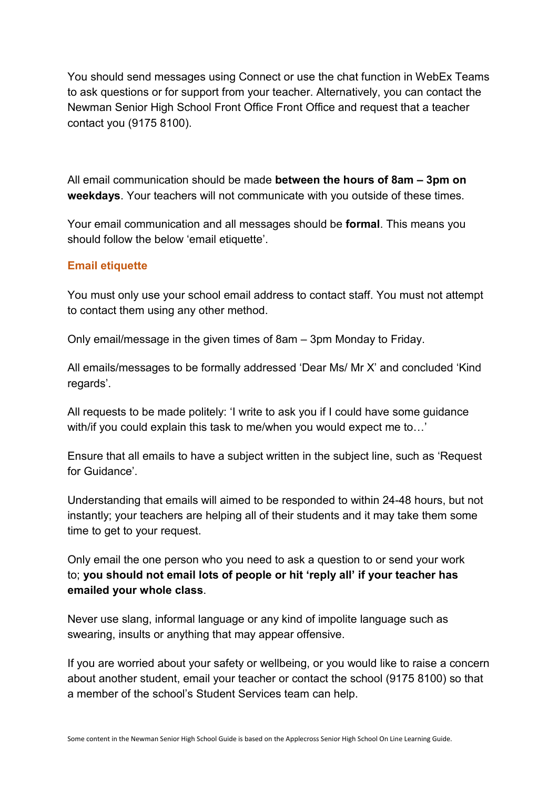You should send messages using Connect or use the chat function in WebEx Teams to ask questions or for support from your teacher. Alternatively, you can contact the Newman Senior High School Front Office Front Office and request that a teacher contact you (9175 8100).

All email communication should be made **between the hours of 8am – 3pm on weekdays**. Your teachers will not communicate with you outside of these times.

Your email communication and all messages should be **formal**. This means you should follow the below 'email etiquette'.

### **Email etiquette**

You must only use your school email address to contact staff. You must not attempt to contact them using any other method.

Only email/message in the given times of 8am – 3pm Monday to Friday.

All emails/messages to be formally addressed 'Dear Ms/ Mr X' and concluded 'Kind regards'.

All requests to be made politely: 'I write to ask you if I could have some guidance with/if you could explain this task to me/when you would expect me to…'

Ensure that all emails to have a subject written in the subject line, such as 'Request for Guidance'.

Understanding that emails will aimed to be responded to within 24-48 hours, but not instantly; your teachers are helping all of their students and it may take them some time to get to your request.

Only email the one person who you need to ask a question to or send your work to; **you should not email lots of people or hit 'reply all' if your teacher has emailed your whole class**.

Never use slang, informal language or any kind of impolite language such as swearing, insults or anything that may appear offensive.

If you are worried about your safety or wellbeing, or you would like to raise a concern about another student, email your teacher or contact the school (9175 8100) so that a member of the school's Student Services team can help.